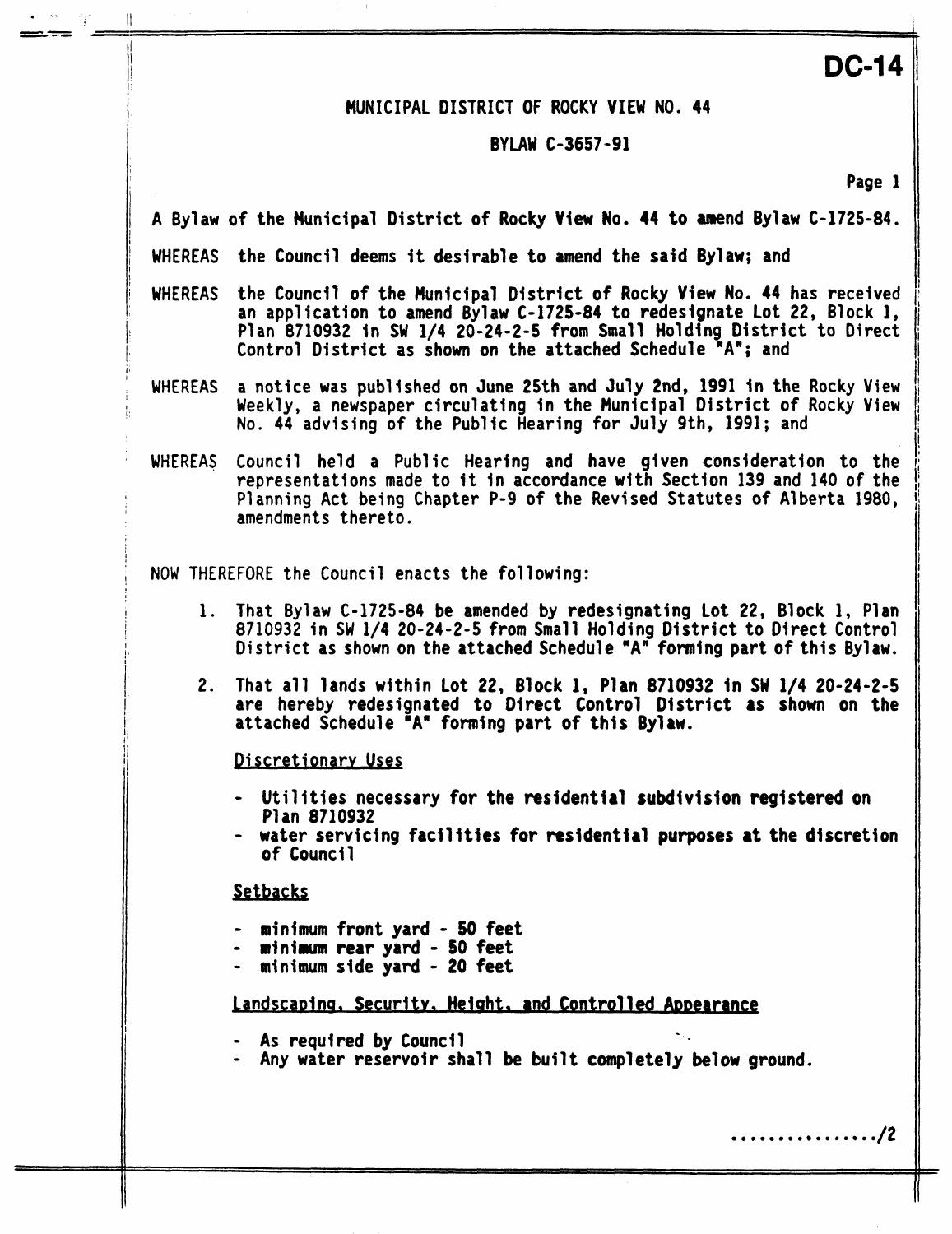## **MUNICIPAL DISTRICT OF ROCKY VIEW NO. 44**

li **DC-14** 

### **BYLAW C-3657-91**

**?age 1** 

- <sup>1</sup>**A Bylaw of the Municipal District of Rocky View No. 44 to amend Bylaw C-1725-84.**
- i **WHEREAS the Council deems it desirable to amend the said Bylaw; and**
- <sup>1</sup>**WHEREAS the Council of the Municipal District of Rocky View No. 44 has received an application to amend Bylaw C-1725-84 to redesignate Lot 22, Block 1,** Plan 8710932 in SW 1/4 20-24-2-5 from Small Holding District to Direct <sup>11</sup>**Control District as shown on the attached Schedule "A"; and**
- **WHEREAS a notice was published on June 25th and July Znd, 1991 in the Rocky View No. 44 advising of the Public Hearing for July 9th, 1991; and**  <sup>I</sup>**Weekly, a newspaper circulating in the Municipal District of Rocky View**
- **WHEREAS Council held a Public Hearing and have given consideration to the representations made to it in accordance with Section 139 and 140 of the amendments thereto. <sup>I</sup>Planning Act being Chapter P-9 of the Revised Statutes of Alberta 1980,** <sup>I</sup>

**I NOW THEREFORE the Council enacts the following:** 

- <sup>I</sup>**1. That Bylaw C-1725-84 be amended by redesignating lot 22, Block 1, Plan 8710932 in SW 1/4 20-24-2-5 from Small Holding District to Direct Control** <sup>I</sup> **District as shown on the attached Schedule "A" forming part of this Bylaw.**
- **2. That all lands within lot 22, Block 1, Plan 8710932 in SW 1/4 20-24-2-5 are hereby redesignated to Direct Control District as shown on the attached Schedule "A" forming part of this Bylaw.**

**Jliscretionarv Uses** 

- **Utilitles necessary for the residential subdivision registered on Plan 8710932**
- **water servicing facilities for residential purposes at the discretion of Counci 1**

*Setbacks* 

I

7

1

I

'

f

I

I

*I/* 

- **minimum front yard 50 feet**
- **afninurn rear yard 50 feet**
- **minimum side yard 20 feet**

# Landscaping. Security, Height, and Controlled Appearance

- **As requfred by Council**
- **Any water reservoir shall be built completely below ground.**

*0 0 0 0* **e** *0 0 0 0* **e** *0* **e** *0* **e/2**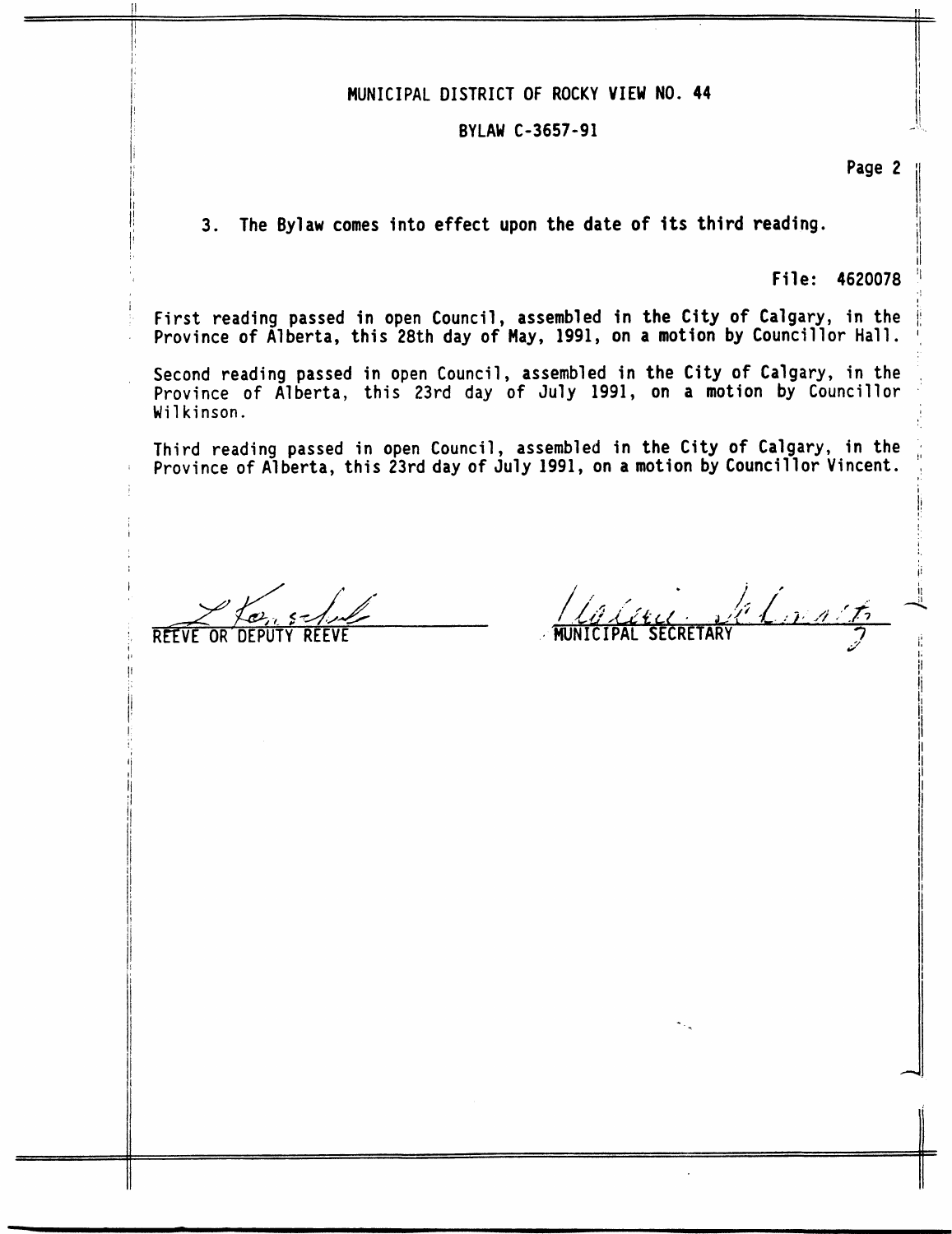### i; // MUNICIPAL **DISTRICT OF ROCKY VIEW NO. 44**

### **BYLAW C-3657-91** <sup>11</sup>**,"I** ,

Page 2

**Page 2**<br> **Page 2**<br> **Page 2**<br> **Page 2** 

I/ **I** 

ri

I!

**3. The Bylaw comes into effect upon the date of its third reading.** 

**File: 4620078** 'I

First reading passed in open Council, assembled in the City of Calgary, in the **Province of Alberta, this 28th day of May, 1991, on a motion by Councillor Hall. I(** 

**Second reading passed in** open Council, **assembled in the City of Calgary, in the** , **Province** of **Alberta, this 23rd day of July 1991, on a motion by Councillor Wilkinson.** <sup>I</sup>

**Province**  of **Alberta, this 23rd day of July 1991, on a motion by Councillor Vincent.** !: **Third reading passed in open Council, assembled in the City of Calgary, in the** <sup>4</sup>

*9* 

Chmart,